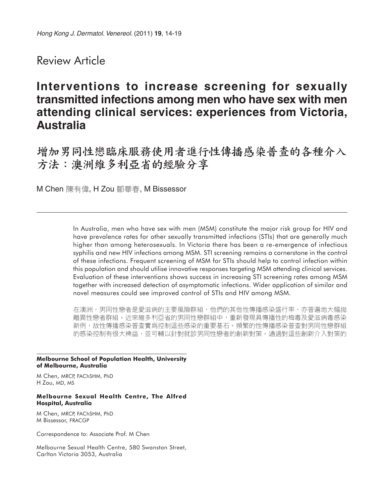## Review Article

# **Interventions to increase screening for sexually transmitted infections among men who have sex with men attending clinical services: experiences from Victoria, Australia**

增加男同性戀臨床服務使用者進行性傳播感染普查的各種介入 方法:澳洲維多利亞省的經驗分享

M Chen 陳有偉, H Zou 鄒華春, M Bissessor

In Australia, men who have sex with men (MSM) constitute the major risk group for HIV and have prevalence rates for other sexually transmitted infections (STIs) that are generally much higher than among heterosexuals. In Victoria there has been a re-emergence of infectious syphilis and new HIV infections among MSM. STI screening remains a cornerstone in the control of these infections. Frequent screening of MSM for STIs should help to control infection within this population and should utilise innovative responses targeting MSM attending clinical services. Evaluation of these interventions shows success in increasing STI screening rates among MSM together with increased detection of asymptomatic infections. Wider application of similar and novel measures could see improved control of STIs and HIV among MSM.

在澳洲,男同性戀者是愛滋病的主要風險群組,他們的其他性傳播感染盛行率,亦普遍地大幅拋 離異性戀者群組。近來維多利亞省的男同性戀群組中,重新發現具傳播性的梅毒及愛滋病毒感染 新例,故性傳播感染普查實爲控制這些感染的重要基石。頻繁的性傳播感染普查對男同性戀群組 的感染控制有很大裨益,並可輔以針對就診男同性戀者的創新對策。通過對這些創新介入對策的

#### **Melbourne School of Population Health, University of Melbourne, Australia**

M Chen, MRCP, FAChSHM, PhD H Zou, MD, MS

#### **Melbourne Sexual Health Centre, The Alfred Hospital, Australia**

M Chen, MRCP, FAChSHM, PhD M Bissessor, FRACGP

Correspondence to: Associate Prof. M Chen

Melbourne Sexual Health Centre, 580 Swanston Street, Carlton Victoria 3053, Australia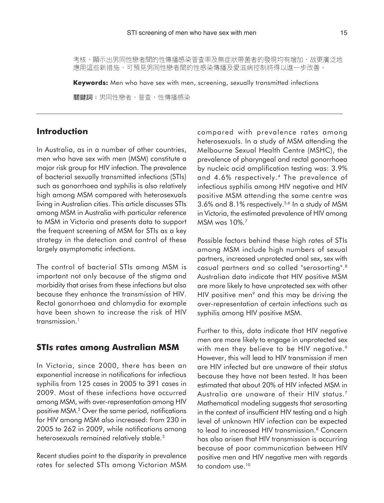考核,顯示出男同性戀者間的性傳播感染普查率及無症狀帶菌者的發現均有增加,故更廣泛地 應用這些新措施,可預見男同性戀者間的性感染傳播及愛滋病控制將得以進一步改善。

**Keywords:** Men who have sex with men, screening, sexually transmitted infections

關鍵詞:男同性戀者,普查,性傳播感染

## **Introduction**

In Australia, as in a number of other countries, men who have sex with men (MSM) constitute a major risk group for HIV infection. The prevalence of bacterial sexually transmitted infections (STIs) such as gonorrhoea and syphilis is also relatively high among MSM compared with heterosexuals living in Australian cities. This article discusses STIs among MSM in Australia with particular reference to MSM in Victoria and presents data to support the frequent screening of MSM for STIs as a key strategy in the detection and control of these largely asymptomatic infections.

The control of bacterial STIs among MSM is important not only because of the stigma and morbidity that arises from these infections but also because they enhance the transmission of HIV. Rectal gonorrhoea and chlamydia for example have been shown to increase the risk of HIV transmission.<sup>1</sup>

### **STIs rates among Australian MSM**

In Victoria, since 2000, there has been an exponential increase in notifications for infectious syphilis from 125 cases in 2005 to 391 cases in 2009. Most of these infections have occurred among MSM, with over-representation among HIV positive MSM.2 Over the same period, notifications for HIV among MSM also increased: from 230 in 2005 to 262 in 2009, while notifications among heterosexuals remained relatively stable.<sup>3</sup>

Recent studies point to the disparity in prevalence rates for selected STIs among Victorian MSM compared with prevalence rates among heterosexuals. In a study of MSM attending the Melbourne Sexual Health Centre (MSHC), the prevalence of pharyngeal and rectal gonorrhoea by nucleic acid amplification testing was: 3.9% and 4.6% respectively.4 The prevalence of infectious syphilis among HIV negative and HIV positive MSM attending the same centre was 3.6% and 8.1% respectively.5,6 In a study of MSM in Victoria, the estimated prevalence of HIV among MSM was 10%.7

Possible factors behind these high rates of STIs among MSM include high numbers of sexual partners, increased unprotected anal sex, sex with casual partners and so called "serosorting".8 Australian data indicate that HIV positive MSM are more likely to have unprotected sex with other HIV positive men<sup>9</sup> and this may be driving the over-representation of certain infections such as syphilis among HIV positive MSM.

Further to this, data indicate that HIV negative men are more likely to engage in unprotected sex with men they believe to be HIV negative.<sup>9</sup> However, this will lead to HIV transmission if men are HIV infected but are unaware of their status because they have not been tested. It has been estimated that about 20% of HIV infected MSM in Australia are unaware of their HIV status.7 Mathematical modeling suggests that serosorting in the context of insufficient HIV testing and a high level of unknown HIV infection can be expected to lead to increased HIV transmission.<sup>8</sup> Concern has also arisen that HIV transmission is occurring because of poor communication between HIV positive men and HIV negative men with regards to condom use.<sup>10</sup>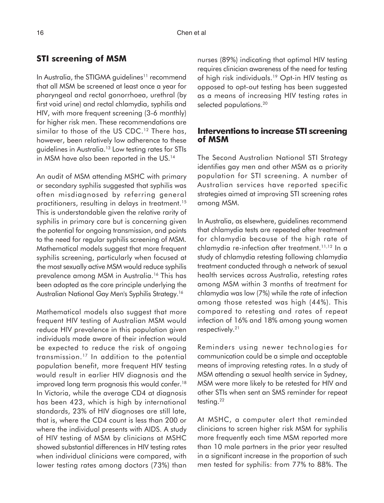#### **STI screening of MSM**

In Australia, the STIGMA guidelines<sup>11</sup> recommend that all MSM be screened at least once a year for pharyngeal and rectal gonorrhoea, urethral (by first void urine) and rectal chlamydia, syphilis and HIV, with more frequent screening (3-6 monthly) for higher risk men. These recommendations are similar to those of the US CDC.<sup>12</sup> There has, however, been relatively low adherence to these guidelines in Australia.13 Low testing rates for STIs in MSM have also been reported in the US.<sup>14</sup>

An audit of MSM attending MSHC with primary or secondary syphilis suggested that syphilis was often misdiagnosed by referring general practitioners, resulting in delays in treatment.15 This is understandable given the relative rarity of syphilis in primary care but is concerning given the potential for ongoing transmission, and points to the need for regular syphilis screening of MSM. Mathematical models suggest that more frequent syphilis screening, particularly when focused at the most sexually active MSM would reduce syphilis prevalence among MSM in Australia.16 This has been adopted as the core principle underlying the Australian National Gay Men's Syphilis Strategy.16

Mathematical models also suggest that more frequent HIV testing of Australian MSM would reduce HIV prevalence in this population given individuals made aware of their infection would be expected to reduce the risk of ongoing transmission.17 In addition to the potential population benefit, more frequent HIV testing would result in earlier HIV diagnosis and the improved long term prognosis this would confer.<sup>18</sup> In Victoria, while the average CD4 at diagnosis has been 423, which is high by international standards, 23% of HIV diagnoses are still late, that is, where the CD4 count is less than 200 or where the individual presents with AIDS. A study of HIV testing of MSM by clinicians at MSHC showed substantial differences in HIV testing rates when individual clinicians were compared, with lower testing rates among doctors (73%) than nurses (89%) indicating that optimal HIV testing requires clinician awareness of the need for testing of high risk individuals.19 Opt-in HIV testing as opposed to opt-out testing has been suggested as a means of increasing HIV testing rates in selected populations.<sup>20</sup>

#### **Interventions to increase STI screening of MSM**

The Second Australian National STI Strategy identifies gay men and other MSM as a priority population for STI screening. A number of Australian services have reported specific strategies aimed at improving STI screening rates among MSM.

In Australia, as elsewhere, guidelines recommend that chlamydia tests are repeated after treatment for chlamydia because of the high rate of chlamydia re-infection after treatment.11,12 In a study of chlamydia retesting following chlamydia treatment conducted through a network of sexual health services across Australia, retesting rates among MSM within 3 months of treatment for chlamydia was low (7%) while the rate of infection among those retested was high (44%). This compared to retesting and rates of repeat infection of 16% and 18% among young women respectively.21

Reminders using newer technologies for communication could be a simple and acceptable means of improving retesting rates. In a study of MSM attending a sexual health service in Sydney, MSM were more likely to be retested for HIV and other STIs when sent an SMS reminder for repeat testing.<sup>22</sup>

At MSHC, a computer alert that reminded clinicians to screen higher risk MSM for syphilis more frequently each time MSM reported more than 10 male partners in the prior year resulted in a significant increase in the proportion of such men tested for syphilis: from 77% to 88%. The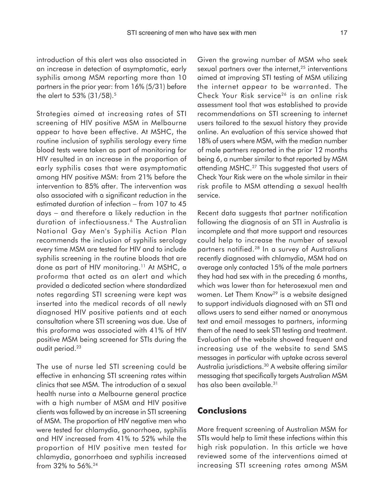introduction of this alert was also associated in an increase in detection of asymptomatic, early syphilis among MSM reporting more than 10 partners in the prior year: from 16% (5/31) before the alert to 53% (31/58).<sup>5</sup>

Strategies aimed at increasing rates of STI screening of HIV positive MSM in Melbourne appear to have been effective. At MSHC, the routine inclusion of syphilis serology every time blood tests were taken as part of monitoring for HIV resulted in an increase in the proportion of early syphilis cases that were asymptomatic among HIV positive MSM: from 21% before the intervention to 85% after. The intervention was also associated with a significant reduction in the estimated duration of infection – from 107 to 45 days − and therefore a likely reduction in the duration of infectiousness.<sup>6</sup> The Australian National Gay Men's Syphilis Action Plan recommends the inclusion of syphilis serology every time MSM are tested for HIV and to include syphilis screening in the routine bloods that are done as part of HIV monitoring.11 At MSHC, a proforma that acted as an alert and which provided a dedicated section where standardized notes regarding STI screening were kept was inserted into the medical records of all newly diagnosed HIV positive patients and at each consultation where STI screening was due. Use of this proforma was associated with 41% of HIV positive MSM being screened for STIs during the audit period.23

The use of nurse led STI screening could be effective in enhancing STI screening rates within clinics that see MSM. The introduction of a sexual health nurse into a Melbourne general practice with a high number of MSM and HIV positive clients was followed by an increase in STI screening of MSM. The proportion of HIV negative men who were tested for chlamydia, gonorrhoea, syphilis and HIV increased from 41% to 52% while the proportion of HIV positive men tested for chlamydia, gonorrhoea and syphilis increased from 32% to 56%.24

Given the growing number of MSM who seek sexual partners over the internet, $25$  interventions aimed at improving STI testing of MSM utilizing the internet appear to be warranted. The Check Your Risk service<sup>26</sup> is an online risk assessment tool that was established to provide recommendations on STI screening to internet users tailored to the sexual history they provide online. An evaluation of this service showed that 18% of users where MSM, with the median number of male partners reported in the prior 12 months being 6, a number similar to that reported by MSM attending MSHC.<sup>27</sup> This suggested that users of Check Your Risk were on the whole similar in their risk profile to MSM attending a sexual health service.

Recent data suggests that partner notification following the diagnosis of an STI in Australia is incomplete and that more support and resources could help to increase the number of sexual partners notified.28 In a survey of Australians recently diagnosed with chlamydia, MSM had on average only contacted 15% of the male partners they had had sex with in the preceding 6 months, which was lower than for heterosexual men and women. Let Them Know<sup>29</sup> is a website designed to support individuals diagnosed with an STI and allows users to send either named or anonymous text and email messages to partners, informing them of the need to seek STI testing and treatment. Evaluation of the website showed frequent and increasing use of the website to send SMS messages in particular with uptake across several Australia jurisdictions.<sup>30</sup> A website offering similar messaging that specifically targets Australian MSM has also been available.<sup>31</sup>

### **Conclusions**

More frequent screening of Australian MSM for STIs would help to limit these infections within this high risk population. In this article we have reviewed some of the interventions aimed at increasing STI screening rates among MSM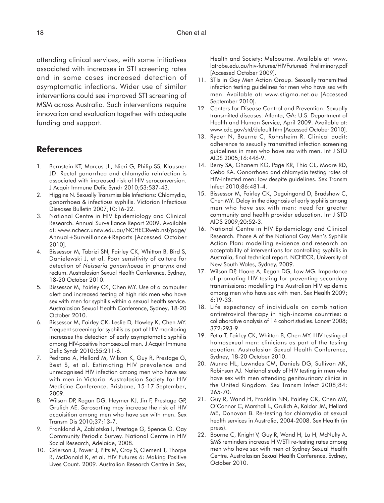attending clinical services, with some initiatives associated with increases in STI screening rates and in some cases increased detection of asymptomatic infections. Wider use of similar interventions could see improved STI screening of MSM across Australia. Such interventions require innovation and evaluation together with adequate funding and support.

#### **References**

- 1. Bernstein KT, Marcus JL, Nieri G, Philip SS, Klausner JD. Rectal gonorrhea and chlamydia reinfection is associated with increased risk of HIV seroconversion. J Acquir Immune Defic Syndr 2010;53:537-43.
- 2. Higgins N. Sexually Transmissible Infections: Chlamydia, gonorrhoea & infectious syphilis. Victorian Infectious Diseases Bulletin 2007;10:16-22.
- 3. National Centre in HIV Epidemiology and Clinical Research. Annual Surveillance Report 2009. Available at: www.nchecr.unsw.edu.au/NCHECRweb.nsf/page/ Annual+Surveillance+Reports [Accessed October 2010].
- 4. Bissessor M, Tabrizi SN, Fairley CK, Whitton B, Bird S, Danielewski J, et al. Poor sensitivity of culture for detection of *Neisseria gonorrhoeae* in pharynx and rectum. Australasian Sexual Health Conference, Sydney, 18-20 October 2010.
- 5. Bissessor M, Fairley CK, Chen MY. Use of a computer alert and increased testing of high risk men who have sex with men for syphilis within a sexual health service. Australasian Sexual Health Conference, Sydney, 18-20 October 2010.
- 6. Bissessor M, Fairley CK, Leslie D, Howley K, Chen MY. Frequent screening for syphilis as part of HIV monitoring increases the detection of early asymptomatic syphilis among HIV-positive homosexual men. J Acquir Immune Defic Syndr 2010;55:211-6.
- 7. Pedrana A, Hellard M, Wilson K, Guy R, Prestage G, Best S, et al. Estimating HIV prevalence and unrecognised HIV infection among men who have sex with men in Victoria. Australasian Society for HIV Medicine Conference, Brisbane, 15-17 September, 2009.
- 8. Wilson DP, Regan DG, Heymer KJ, Jin F, Prestage GP, Grulich AE. Serosorting may increase the risk of HIV acquisition among men who have sex with men. Sex Transm Dis 2010;37:13-7.
- 9. Frankland A, Zablotska I, Prestage G, Spence G. Gay Community Periodic Survey. National Centre in HIV Social Research, Adelaide, 2008.
- 10. Grierson J, Power J, Pitts M, Croy S, Clement T, Thorpe R, McDonald K, et al. HIV Futures 6: Making Positive Lives Count. 2009. Australian Research Centre in Sex,

Health and Society: Melbourne. Available at: www. latrobe.edu.au/hiv-futures/HIVFutures6\_Preliminary.pdf [Accessed October 2009].

- 11. STIs in Gay Men Action Group. Sexually transmitted infection testing guidelines for men who have sex with men. Available at: www.stigma.net.au [Accessed September 2010].
- 12. Centers for Disease Control and Prevention. Sexually transmitted diseases. Atlanta, GA: U.S. Department of Health and Human Service, April 2009. Available at: www.cdc.gov/std/default.htm [Accessed October 2010].
- 13. Ryder N, Bourne C, Rohrsheim R. Clinical audit: adherence to sexually transmitted infection screening guidelines in men who have sex with men. Int J STD AIDS 2005;16:446-9.
- 14. Berry SA, Ghanem KG, Page KR, Thio CL, Moore RD, Gebo KA. Gonorrhoea and chlamydia testing rates of HIV-infected men: low despite guidelines. Sex Transm Infect 2010;86:481-4.
- 15. Bissessor M, Fairley CK, Deguingand D, Bradshaw C, Chen MY. Delay in the diagnosis of early syphilis among men who have sex with men: need for greater community and health provider education. Int J STD AIDS 2009;20:52-3.
- 16. National Centre in HIV Epidemiology and Clinical Research. Phase A of the National Gay Men's Syphilis Action Plan: modelling evidence and research on acceptability of interventions for controlling syphilis in Australia, final technical report. NCHECR, University of New South Wales, Sydney, 2009.
- 17. Wilson DP, Hoare A, Regan DG, Law MG. Importance of promoting HIV testing for preventing secondary transmissions: modelling the Australian HIV epidemic among men who have sex with men. Sex Health 2009; 6:19-33.
- 18. Life expectancy of individuals on combination antiretroviral therapy in high-income countries: a collaborative analysis of 14 cohort studies. Lancet 2008; 372:293-9.
- 19. Petlo T, Fairley CK, Whitton B, Chen MY. HIV testing of homosexual men: clinicians as part of the testing equation. Australasian Sexual Health Conference, Sydney, 18-20 October 2010.
- 20. Munro HL, Lowndes CM, Daniels DG, Sullivan AK, Robinson AJ. National study of HIV testing in men who have sex with men attending genitourinary clinics in the United Kingdom. Sex Transm Infect 2008;84: 265-70.
- 21. Guy R, Wand H, Franklin NN, Fairley CK, Chen MY, O'Connor C, Marshall L, Grulich A, Kaldor JM, Hellard ME, Donovan B. Re-testing for chlamydia at sexual health services in Australia, 2004-2008. Sex Health (in press).
- 22. Bourne C, Knight V, Guy R, Wand H, Lu H, McNulty A. SMS reminders increase HIV/STI re-testing rates among men who have sex with men at Sydney Sexual Health Centre. Australasian Sexual Health Conference, Sydney, October 2010.